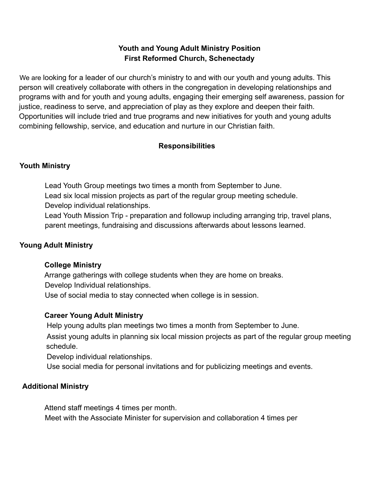# **Youth and Young Adult Ministry Position First Reformed Church, Schenectady**

We are looking for a leader of our church's ministry to and with our youth and young adults. This person will creatively collaborate with others in the congregation in developing relationships and programs with and for youth and young adults, engaging their emerging self awareness, passion for justice, readiness to serve, and appreciation of play as they explore and deepen their faith. Opportunities will include tried and true programs and new initiatives for youth and young adults combining fellowship, service, and education and nurture in our Christian faith.

# **Responsibilities**

## **Youth Ministry**

Lead Youth Group meetings two times a month from September to June. Lead six local mission projects as part of the regular group meeting schedule. Develop individual relationships.

Lead Youth Mission Trip - preparation and followup including arranging trip, travel plans, parent meetings, fundraising and discussions afterwards about lessons learned.

#### **Young Adult Ministry**

#### **College Ministry**

Arrange gatherings with college students when they are home on breaks. Develop Individual relationships.

Use of social media to stay connected when college is in session.

# **Career Young Adult Ministry**

Help young adults plan meetings two times a month from September to June.

Assist young adults in planning six local mission projects as part of the regular group meeting schedule.

Develop individual relationships.

Use social media for personal invitations and for publicizing meetings and events.

# **Additional Ministry**

Attend staff meetings 4 times per month.

Meet with the Associate Minister for supervision and collaboration 4 times per